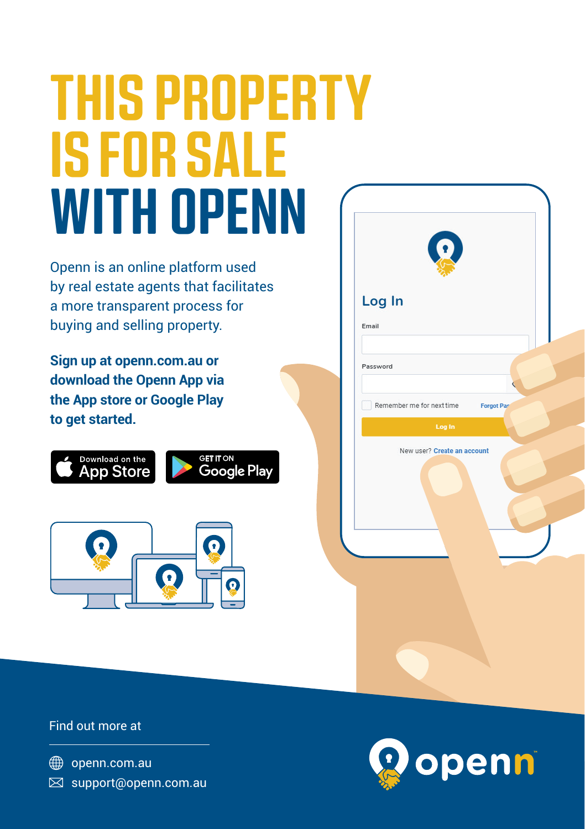## **THIS PROPERTY IS FOR SALE WITH OPENN**

Openn is an online platform used by real estate agents that facilitates a more transparent process for buying and selling property.

**Sign up at openn.com.au or download the Openn App via the App store or Google Play to get started.**





| $\Omega$                                       |  |
|------------------------------------------------|--|
| Log In                                         |  |
| Email                                          |  |
| Password<br>C                                  |  |
| Remember me for next time<br><b>Forgot Pas</b> |  |
| Log In                                         |  |
| New user? Create an account                    |  |
|                                                |  |

Find out more at

**<sup>●</sup>** openn.com.au  $\boxtimes$  support@openn.com.au